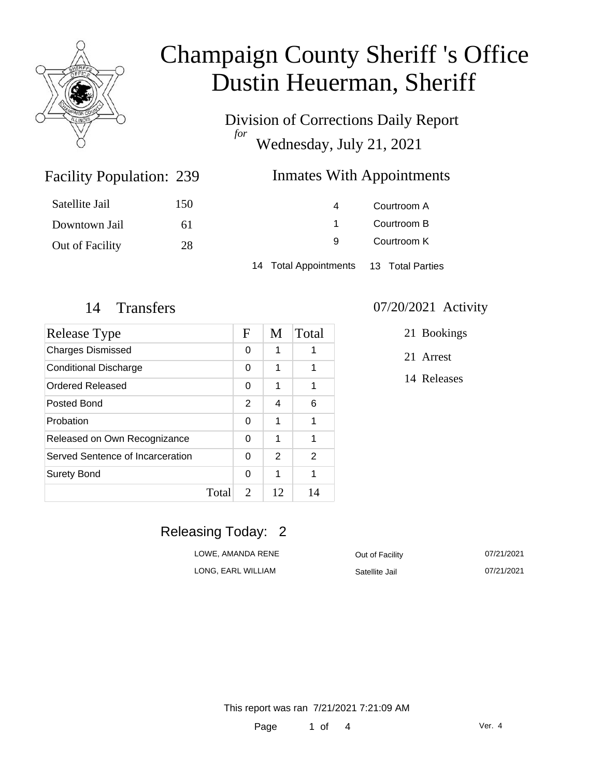

Division of Corrections Daily Report *for* Wednesday, July 21, 2021

### Inmates With Appointments

| Satellite Jail  | 150 | 4                                      | Courtroom A |  |
|-----------------|-----|----------------------------------------|-------------|--|
| Downtown Jail   | 61  |                                        | Courtroom B |  |
| Out of Facility | 28  | 9                                      | Courtroom K |  |
|                 |     | 14 Total Appointments 13 Total Parties |             |  |

Facility Population: 239

| Release Type                     | F | M  | Total |
|----------------------------------|---|----|-------|
| <b>Charges Dismissed</b>         |   | 1  | 1     |
| <b>Conditional Discharge</b>     |   | 1  | 1     |
| Ordered Released                 | 0 | 1  | 1     |
| Posted Bond                      | 2 | 4  | 6     |
| Probation                        | 0 | 1  | 1     |
| Released on Own Recognizance     |   | 1  | 1     |
| Served Sentence of Incarceration |   | 2  | 2     |
| <b>Surety Bond</b>               | 0 | 1  | 1     |
| Total                            | 2 | 12 | 14    |

#### 14 Transfers 07/20/2021 Activity

21 Bookings

21 Arrest

14 Releases

### Releasing Today: 2

| LOWE, AMANDA RENE  | Out of Facility | 07/21/2021 |
|--------------------|-----------------|------------|
| LONG. EARL WILLIAM | Satellite Jail  | 07/21/2021 |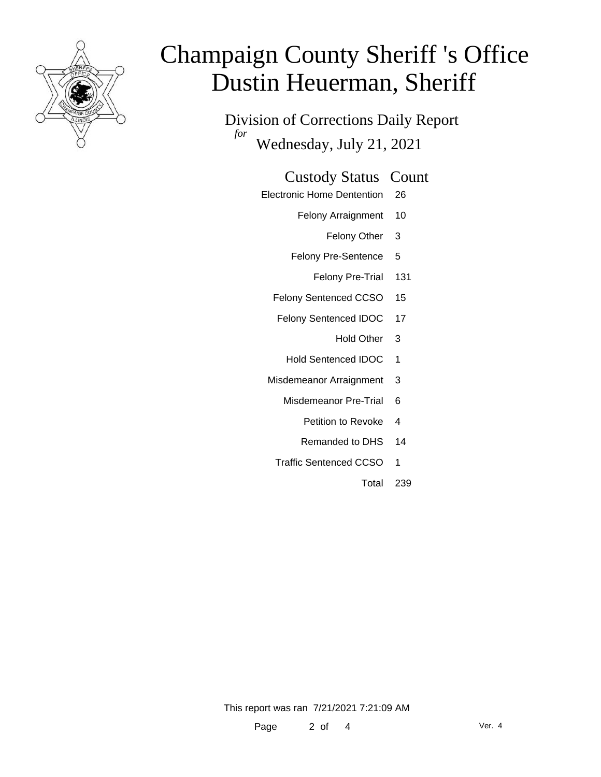

Division of Corrections Daily Report *for* Wednesday, July 21, 2021

### Custody Status Count

- Electronic Home Dentention 26
	- Felony Arraignment 10
		- Felony Other 3
	- Felony Pre-Sentence 5
		- Felony Pre-Trial 131
	- Felony Sentenced CCSO 15
	- Felony Sentenced IDOC 17
		- Hold Other 3
		- Hold Sentenced IDOC 1
	- Misdemeanor Arraignment 3
		- Misdemeanor Pre-Trial 6
			- Petition to Revoke 4
			- Remanded to DHS 14
		- Traffic Sentenced CCSO 1
			- Total 239

This report was ran 7/21/2021 7:21:09 AM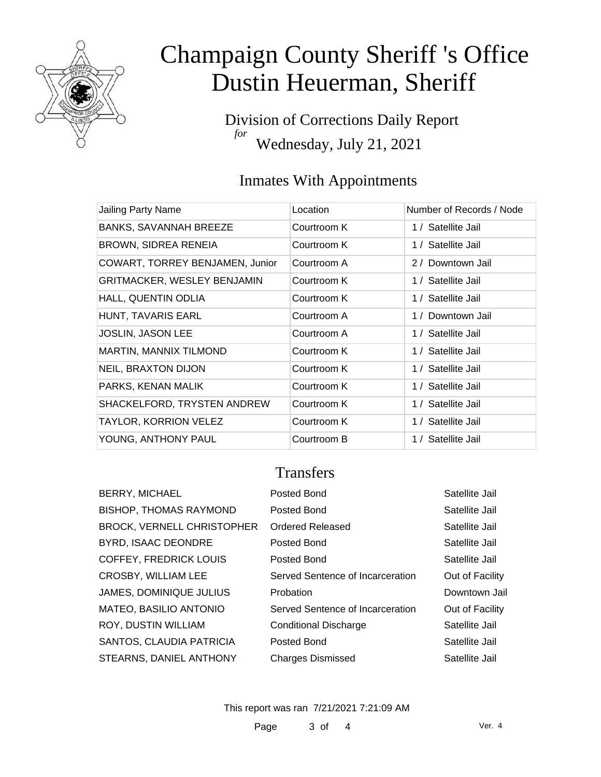

Division of Corrections Daily Report *for* Wednesday, July 21, 2021

## Inmates With Appointments

| Jailing Party Name                 | Location    | Number of Records / Node |
|------------------------------------|-------------|--------------------------|
| <b>BANKS, SAVANNAH BREEZE</b>      | Courtroom K | 1 / Satellite Jail       |
| BROWN, SIDREA RENEIA               | Courtroom K | 1 / Satellite Jail       |
| COWART, TORREY BENJAMEN, Junior    | Courtroom A | 2 / Downtown Jail        |
| <b>GRITMACKER, WESLEY BENJAMIN</b> | Courtroom K | 1 / Satellite Jail       |
| HALL, QUENTIN ODLIA                | Courtroom K | 1 / Satellite Jail       |
| HUNT, TAVARIS EARL                 | Courtroom A | 1 / Downtown Jail        |
| JOSLIN, JASON LEE                  | Courtroom A | 1 / Satellite Jail       |
| <b>MARTIN, MANNIX TILMOND</b>      | Courtroom K | 1 / Satellite Jail       |
| <b>NEIL, BRAXTON DIJON</b>         | Courtroom K | 1 / Satellite Jail       |
| PARKS, KENAN MALIK                 | Courtroom K | 1 / Satellite Jail       |
| SHACKELFORD, TRYSTEN ANDREW        | Courtroom K | 1 / Satellite Jail       |
| TAYLOR, KORRION VELEZ              | Courtroom K | 1 / Satellite Jail       |
| YOUNG, ANTHONY PAUL                | Courtroom B | 1 / Satellite Jail       |

### **Transfers**

| Posted Bond                      | Satellite Jail  |
|----------------------------------|-----------------|
| Posted Bond                      | Satellite Jail  |
| <b>Ordered Released</b>          | Satellite Jail  |
| Posted Bond                      | Satellite Jail  |
| Posted Bond                      | Satellite Jail  |
| Served Sentence of Incarceration | Out of Facility |
| Probation                        | Downtown Jail   |
| Served Sentence of Incarceration | Out of Facility |
| <b>Conditional Discharge</b>     | Satellite Jail  |
| Posted Bond                      | Satellite Jail  |
| <b>Charges Dismissed</b>         | Satellite Jail  |
|                                  |                 |